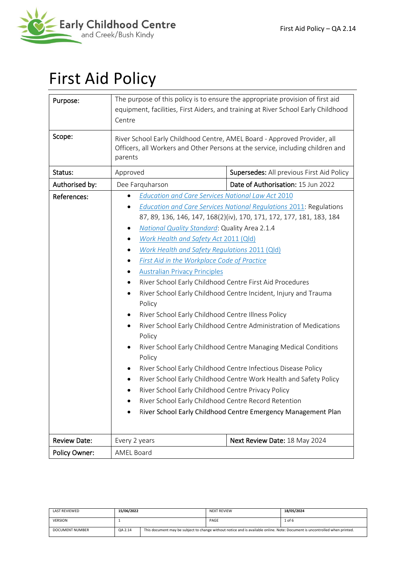

# First Aid Policy

| Purpose:            | The purpose of this policy is to ensure the appropriate provision of first aid<br>equipment, facilities, First Aiders, and training at River School Early Childhood<br>Centre                                                                                                                                                                                                                                                                                                                                                                                                                                                                                                                                                                                                                                                                                                                                                                                                                                                                                                                                                        |                                           |  |  |
|---------------------|--------------------------------------------------------------------------------------------------------------------------------------------------------------------------------------------------------------------------------------------------------------------------------------------------------------------------------------------------------------------------------------------------------------------------------------------------------------------------------------------------------------------------------------------------------------------------------------------------------------------------------------------------------------------------------------------------------------------------------------------------------------------------------------------------------------------------------------------------------------------------------------------------------------------------------------------------------------------------------------------------------------------------------------------------------------------------------------------------------------------------------------|-------------------------------------------|--|--|
| Scope:              | River School Early Childhood Centre, AMEL Board - Approved Provider, all<br>Officers, all Workers and Other Persons at the service, including children and<br>parents                                                                                                                                                                                                                                                                                                                                                                                                                                                                                                                                                                                                                                                                                                                                                                                                                                                                                                                                                                |                                           |  |  |
| Status:             | Approved                                                                                                                                                                                                                                                                                                                                                                                                                                                                                                                                                                                                                                                                                                                                                                                                                                                                                                                                                                                                                                                                                                                             | Supersedes: All previous First Aid Policy |  |  |
| Authorised by:      | Dee Farquharson                                                                                                                                                                                                                                                                                                                                                                                                                                                                                                                                                                                                                                                                                                                                                                                                                                                                                                                                                                                                                                                                                                                      | Date of Authorisation: 15 Jun 2022        |  |  |
| References:         | <b>Education and Care Services National Law Act 2010</b><br><b>Education and Care Services National Regulations 2011: Regulations</b><br>87, 89, 136, 146, 147, 168(2)(iv), 170, 171, 172, 177, 181, 183, 184<br>National Quality Standard: Quality Area 2.1.4<br>Work Health and Safety Act 2011 (Qld)<br>Work Health and Safety Regulations 2011 (Qld)<br>First Aid in the Workplace Code of Practice<br><b>Australian Privacy Principles</b><br>River School Early Childhood Centre First Aid Procedures<br>٠<br>River School Early Childhood Centre Incident, Injury and Trauma<br>Policy<br>River School Early Childhood Centre Illness Policy<br>River School Early Childhood Centre Administration of Medications<br>Policy<br>River School Early Childhood Centre Managing Medical Conditions<br>Policy<br>River School Early Childhood Centre Infectious Disease Policy<br>River School Early Childhood Centre Work Health and Safety Policy<br>River School Early Childhood Centre Privacy Policy<br>River School Early Childhood Centre Record Retention<br>River School Early Childhood Centre Emergency Management Plan |                                           |  |  |
| <b>Review Date:</b> | Every 2 years                                                                                                                                                                                                                                                                                                                                                                                                                                                                                                                                                                                                                                                                                                                                                                                                                                                                                                                                                                                                                                                                                                                        | Next Review Date: 18 May 2024             |  |  |
| Policy Owner:       | <b>AMEL Board</b>                                                                                                                                                                                                                                                                                                                                                                                                                                                                                                                                                                                                                                                                                                                                                                                                                                                                                                                                                                                                                                                                                                                    |                                           |  |  |

| <b>LAST REVIEWED</b> | 15/06/2022 |                                                                                                                             | <b>NEXT REVIEW</b> | 18/05/2024 |
|----------------------|------------|-----------------------------------------------------------------------------------------------------------------------------|--------------------|------------|
| <b>VERSION</b>       |            |                                                                                                                             | PAGE               | $1$ of 6   |
| DOCUMENT NUMBER      | QA 2.14    | This document may be subject to change without notice and is available online. Note: Document is uncontrolled when printed. |                    |            |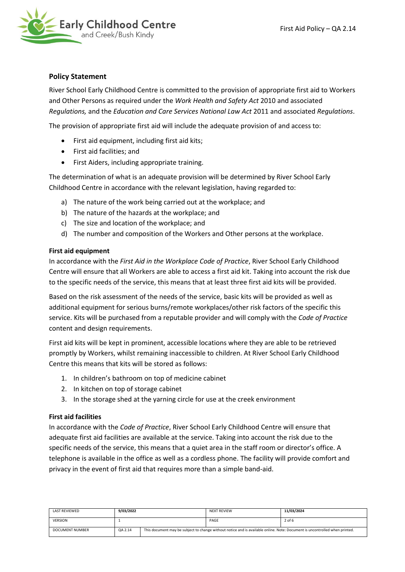

## **Policy Statement**

River School Early Childhood Centre is committed to the provision of appropriate first aid to Workers and Other Persons as required under the *Work Health and Safety Act* 2010 and associated *Regulations,* and the *Education and Care Services National Law Act* 2011 and associated *Regulations*.

The provision of appropriate first aid will include the adequate provision of and access to:

- First aid equipment, including first aid kits;
- First aid facilities; and
- First Aiders, including appropriate training.

The determination of what is an adequate provision will be determined by River School Early Childhood Centre in accordance with the relevant legislation, having regarded to:

- a) The nature of the work being carried out at the workplace; and
- b) The nature of the hazards at the workplace; and
- c) The size and location of the workplace; and
- d) The number and composition of the Workers and Other persons at the workplace.

### **First aid equipment**

In accordance with the *First Aid in the Workplace Code of Practice*, River School Early Childhood Centre will ensure that all Workers are able to access a first aid kit. Taking into account the risk due to the specific needs of the service, this means that at least three first aid kits will be provided.

Based on the risk assessment of the needs of the service, basic kits will be provided as well as additional equipment for serious burns/remote workplaces/other risk factors of the specific this service. Kits will be purchased from a reputable provider and will comply with the *Code of Practice* content and design requirements.

First aid kits will be kept in prominent, accessible locations where they are able to be retrieved promptly by Workers, whilst remaining inaccessible to children. At River School Early Childhood Centre this means that kits will be stored as follows:

- 1. In children's bathroom on top of medicine cabinet
- 2. In kitchen on top of storage cabinet
- 3. In the storage shed at the yarning circle for use at the creek environment

### **First aid facilities**

In accordance with the *Code of Practice*, River School Early Childhood Centre will ensure that adequate first aid facilities are available at the service. Taking into account the risk due to the specific needs of the service, this means that a quiet area in the staff room or director's office. A telephone is available in the office as well as a cordless phone. The facility will provide comfort and privacy in the event of first aid that requires more than a simple band-aid.

| LAST REVIEWED          | 9/03/2022 |                                                                                                                             | <b>NEXT REVIEW</b> | 11/03/2024 |
|------------------------|-----------|-----------------------------------------------------------------------------------------------------------------------------|--------------------|------------|
| <b>VERSION</b>         |           |                                                                                                                             | PAGE               | $2$ of 6   |
| <b>DOCUMENT NUMBER</b> | QA 2.14   | This document may be subject to change without notice and is available online. Note: Document is uncontrolled when printed. |                    |            |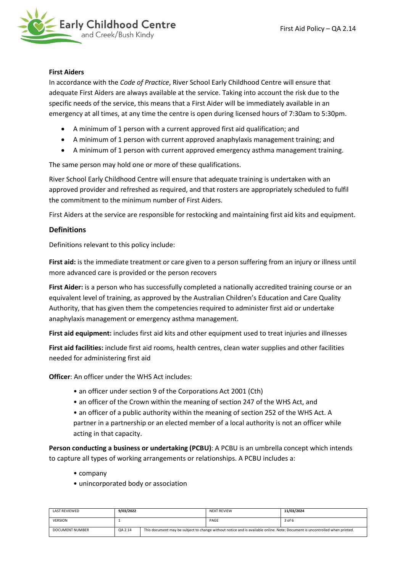

### **First Aiders**

In accordance with the *Code of Practice*, River School Early Childhood Centre will ensure that adequate First Aiders are always available at the service. Taking into account the risk due to the specific needs of the service, this means that a First Aider will be immediately available in an emergency at all times, at any time the centre is open during licensed hours of 7:30am to 5:30pm.

- A minimum of 1 person with a current approved first aid qualification; and
- A minimum of 1 person with current approved anaphylaxis management training; and
- A minimum of 1 person with current approved emergency asthma management training.

The same person may hold one or more of these qualifications.

River School Early Childhood Centre will ensure that adequate training is undertaken with an approved provider and refreshed as required, and that rosters are appropriately scheduled to fulfil the commitment to the minimum number of First Aiders.

First Aiders at the service are responsible for restocking and maintaining first aid kits and equipment.

## **Definitions**

Definitions relevant to this policy include:

**First aid:** is the immediate treatment or care given to a person suffering from an injury or illness until more advanced care is provided or the person recovers

**First Aider:** is a person who has successfully completed a nationally accredited training course or an equivalent level of training, as approved by the Australian Children's Education and Care Quality Authority, that has given them the competencies required to administer first aid or undertake anaphylaxis management or emergency asthma management.

**First aid equipment:** includes first aid kits and other equipment used to treat injuries and illnesses

**First aid facilities:** include first aid rooms, health centres, clean water supplies and other facilities needed for administering first aid

**Officer**: An officer under the WHS Act includes:

- an officer under section 9 of the Corporations Act 2001 (Cth)
- an officer of the Crown within the meaning of section 247 of the WHS Act, and
- an officer of a public authority within the meaning of section 252 of the WHS Act. A partner in a partnership or an elected member of a local authority is not an officer while acting in that capacity.

**Person conducting a business or undertaking (PCBU)**: A PCBU is an umbrella concept which intends to capture all types of working arrangements or relationships. A PCBU includes a:

- company
- unincorporated body or association

| LAST REVIEWED   | 9/03/2022 |                                                                                                                             | <b>NEXT REVIEW</b> | 11/03/2024 |
|-----------------|-----------|-----------------------------------------------------------------------------------------------------------------------------|--------------------|------------|
| <b>VERSION</b>  |           |                                                                                                                             | PAGE               | 3 of 6     |
| DOCUMENT NUMBER | QA 2.14   | This document may be subject to change without notice and is available online. Note: Document is uncontrolled when printed. |                    |            |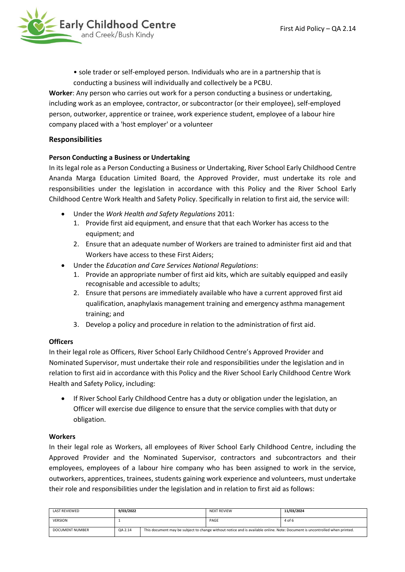

• sole trader or self-employed person. Individuals who are in a partnership that is conducting a business will individually and collectively be a PCBU.

**Worker**: Any person who carries out work for a person conducting a business or undertaking, including work as an employee, contractor, or subcontractor (or their employee), self-employed person, outworker, apprentice or trainee, work experience student, employee of a labour hire company placed with a 'host employer' or a volunteer

## **Responsibilities**

## **Person Conducting a Business or Undertaking**

In its legal role as a Person Conducting a Business or Undertaking, River School Early Childhood Centre Ananda Marga Education Limited Board, the Approved Provider, must undertake its role and responsibilities under the legislation in accordance with this Policy and the River School Early Childhood Centre Work Health and Safety Policy. Specifically in relation to first aid, the service will:

- Under the *Work Health and Safety Regulations* 2011:
	- 1. Provide first aid equipment, and ensure that that each Worker has access to the equipment; and
	- 2. Ensure that an adequate number of Workers are trained to administer first aid and that Workers have access to these First Aiders;
- Under the *Education and Care Services National Regulations*:
	- 1. Provide an appropriate number of first aid kits, which are suitably equipped and easily recognisable and accessible to adults;
	- 2. Ensure that persons are immediately available who have a current approved first aid qualification, anaphylaxis management training and emergency asthma management training; and
	- 3. Develop a policy and procedure in relation to the administration of first aid.

## **Officers**

In their legal role as Officers, River School Early Childhood Centre's Approved Provider and Nominated Supervisor, must undertake their role and responsibilities under the legislation and in relation to first aid in accordance with this Policy and the River School Early Childhood Centre Work Health and Safety Policy, including:

• If River School Early Childhood Centre has a duty or obligation under the legislation, an Officer will exercise due diligence to ensure that the service complies with that duty or obligation.

### **Workers**

In their legal role as Workers, all employees of River School Early Childhood Centre, including the Approved Provider and the Nominated Supervisor, contractors and subcontractors and their employees, employees of a labour hire company who has been assigned to work in the service, outworkers, apprentices, trainees, students gaining work experience and volunteers, must undertake their role and responsibilities under the legislation and in relation to first aid as follows:

| LAST REVIEWED          | 9/03/2022 |                                                                                                                             | <b>NEXT REVIEW</b> | 11/03/2024 |
|------------------------|-----------|-----------------------------------------------------------------------------------------------------------------------------|--------------------|------------|
| <b>VERSION</b>         |           |                                                                                                                             | PAGE               | 4 of 6     |
| <b>DOCUMENT NUMBER</b> | QA 2.14   | This document may be subject to change without notice and is available online. Note: Document is uncontrolled when printed. |                    |            |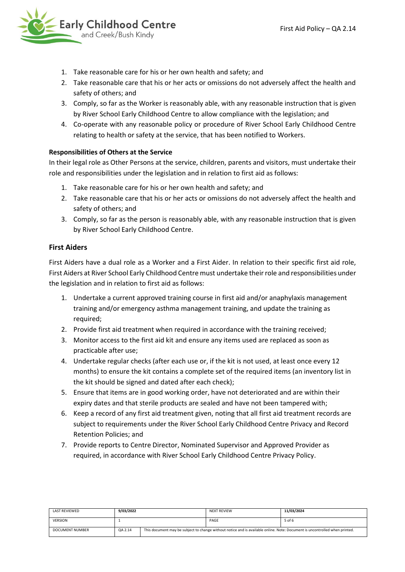

- 1. Take reasonable care for his or her own health and safety; and
- 2. Take reasonable care that his or her acts or omissions do not adversely affect the health and safety of others; and
- 3. Comply, so far as the Worker is reasonably able, with any reasonable instruction that is given by River School Early Childhood Centre to allow compliance with the legislation; and
- 4. Co-operate with any reasonable policy or procedure of River School Early Childhood Centre relating to health or safety at the service, that has been notified to Workers.

## **Responsibilities of Others at the Service**

In their legal role as Other Persons at the service, children, parents and visitors, must undertake their role and responsibilities under the legislation and in relation to first aid as follows:

- 1. Take reasonable care for his or her own health and safety; and
- 2. Take reasonable care that his or her acts or omissions do not adversely affect the health and safety of others; and
- 3. Comply, so far as the person is reasonably able, with any reasonable instruction that is given by River School Early Childhood Centre.

# **First Aiders**

First Aiders have a dual role as a Worker and a First Aider. In relation to their specific first aid role, First Aiders at River School Early Childhood Centre must undertake their role and responsibilities under the legislation and in relation to first aid as follows:

- 1. Undertake a current approved training course in first aid and/or anaphylaxis management training and/or emergency asthma management training, and update the training as required;
- 2. Provide first aid treatment when required in accordance with the training received;
- 3. Monitor access to the first aid kit and ensure any items used are replaced as soon as practicable after use;
- 4. Undertake regular checks (after each use or, if the kit is not used, at least once every 12 months) to ensure the kit contains a complete set of the required items (an inventory list in the kit should be signed and dated after each check);
- 5. Ensure that items are in good working order, have not deteriorated and are within their expiry dates and that sterile products are sealed and have not been tampered with;
- 6. Keep a record of any first aid treatment given, noting that all first aid treatment records are subject to requirements under the River School Early Childhood Centre Privacy and Record Retention Policies; and
- 7. Provide reports to Centre Director, Nominated Supervisor and Approved Provider as required, in accordance with River School Early Childhood Centre Privacy Policy.

| LAST REVIEWED          | 9/03/2022 |                                                                                                                             | <b>NEXT REVIEW</b> | 11/03/2024 |
|------------------------|-----------|-----------------------------------------------------------------------------------------------------------------------------|--------------------|------------|
| <b>VERSION</b>         |           |                                                                                                                             | PAGE               | 5 of 6     |
| <b>DOCUMENT NUMBER</b> | QA 2.14   | This document may be subject to change without notice and is available online. Note: Document is uncontrolled when printed. |                    |            |